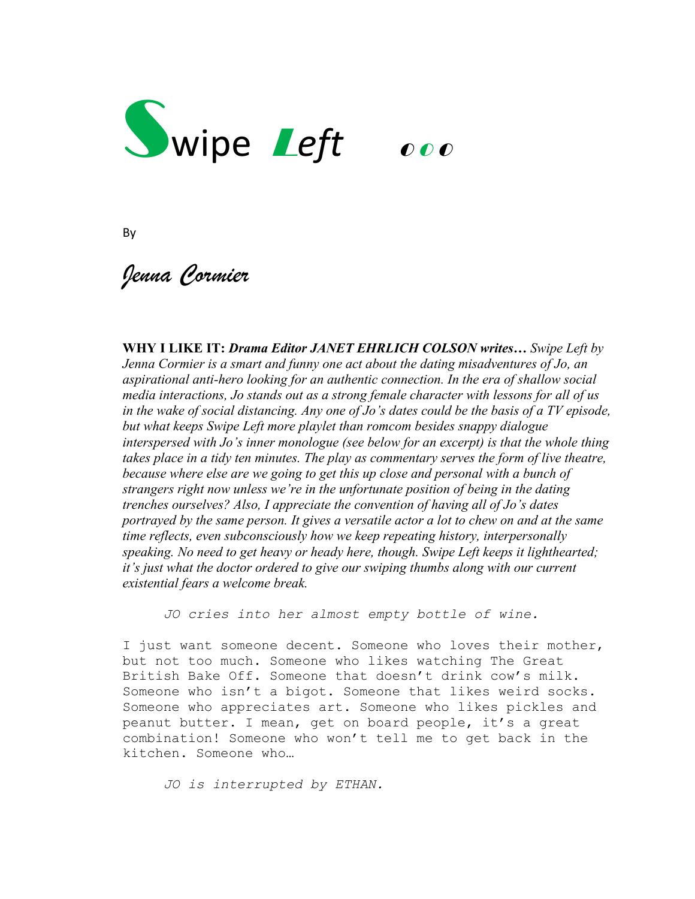

By

*Jenna Cormier*

**WHY I LIKE IT:** *Drama Editor JANET EHRLICH COLSON writes… Swipe Left by Jenna Cormier is a smart and funny one act about the dating misadventures of Jo, an aspirational anti-hero looking for an authentic connection. In the era of shallow social media interactions, Jo stands out as a strong female character with lessons for all of us in the wake of social distancing. Any one of Jo's dates could be the basis of a TV episode, but what keeps Swipe Left more playlet than romcom besides snappy dialogue interspersed with Jo's inner monologue (see below for an excerpt) is that the whole thing takes place in a tidy ten minutes. The play as commentary serves the form of live theatre, because where else are we going to get this up close and personal with a bunch of strangers right now unless we're in the unfortunate position of being in the dating trenches ourselves? Also, I appreciate the convention of having all of Jo's dates portrayed by the same person. It gives a versatile actor a lot to chew on and at the same time reflects, even subconsciously how we keep repeating history, interpersonally speaking. No need to get heavy or heady here, though. Swipe Left keeps it lighthearted; it's just what the doctor ordered to give our swiping thumbs along with our current existential fears a welcome break.* 

*JO cries into her almost empty bottle of wine.*

I just want someone decent. Someone who loves their mother, but not too much. Someone who likes watching The Great British Bake Off. Someone that doesn't drink cow's milk. Someone who isn't a bigot. Someone that likes weird socks. Someone who appreciates art. Someone who likes pickles and peanut butter. I mean, get on board people, it's a great combination! Someone who won't tell me to get back in the kitchen. Someone who…

*JO is interrupted by ETHAN.*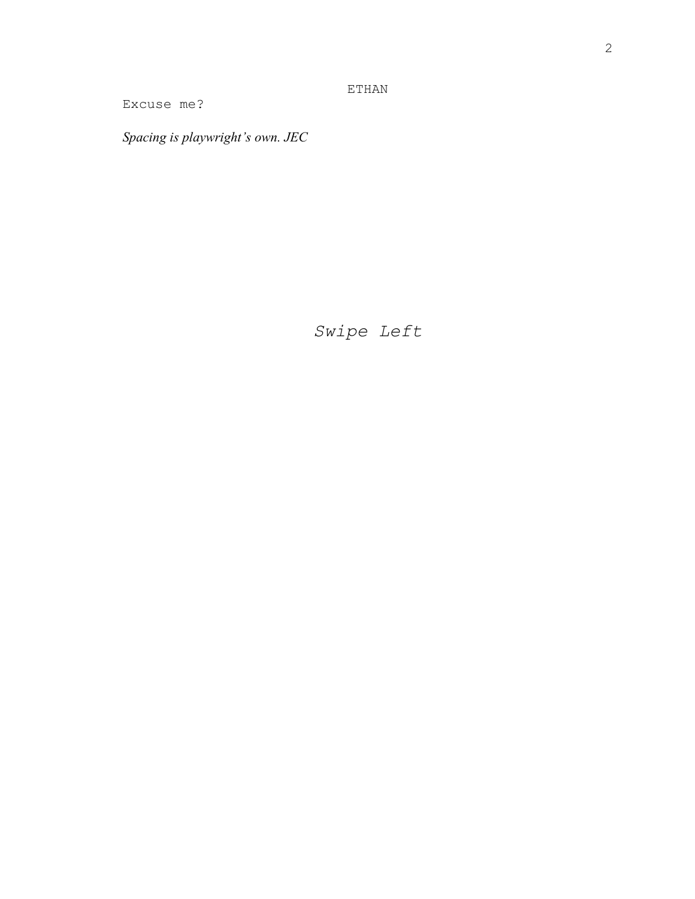ETHAN

Excuse me?

*Spacing is playwright's own. JEC*

*Swipe Left*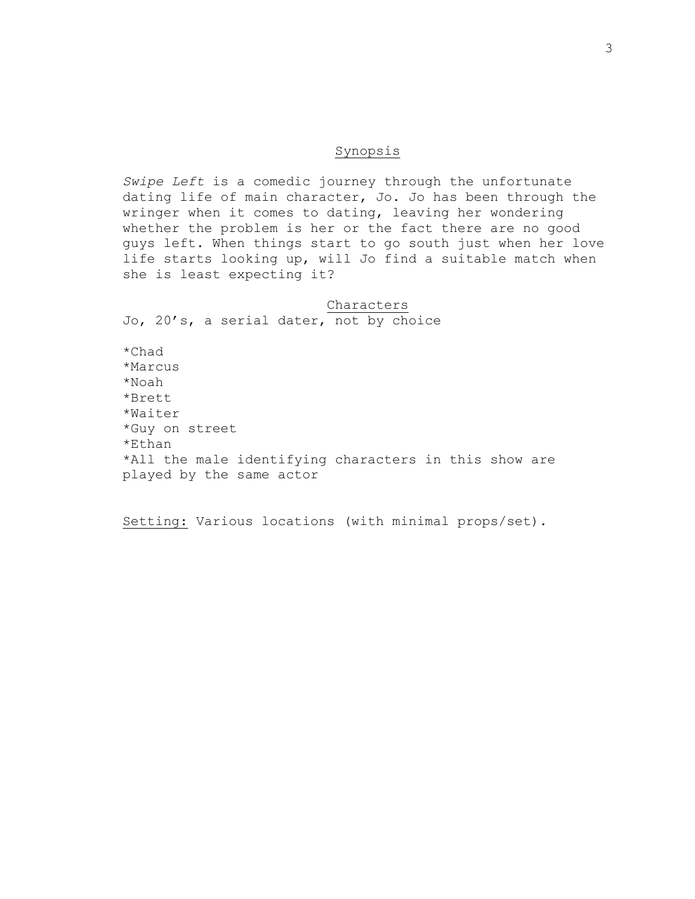# Synopsis

*Swipe Left* is a comedic journey through the unfortunate dating life of main character, Jo. Jo has been through the wringer when it comes to dating, leaving her wondering whether the problem is her or the fact there are no good guys left. When things start to go south just when her love life starts looking up, will Jo find a suitable match when she is least expecting it?

Characters Jo, 20's, a serial dater, not by choice \*Chad \*Marcus \*Noah \*Brett \*Waiter \*Guy on street \*Ethan \*All the male identifying characters in this show are played by the same actor

Setting: Various locations (with minimal props/set).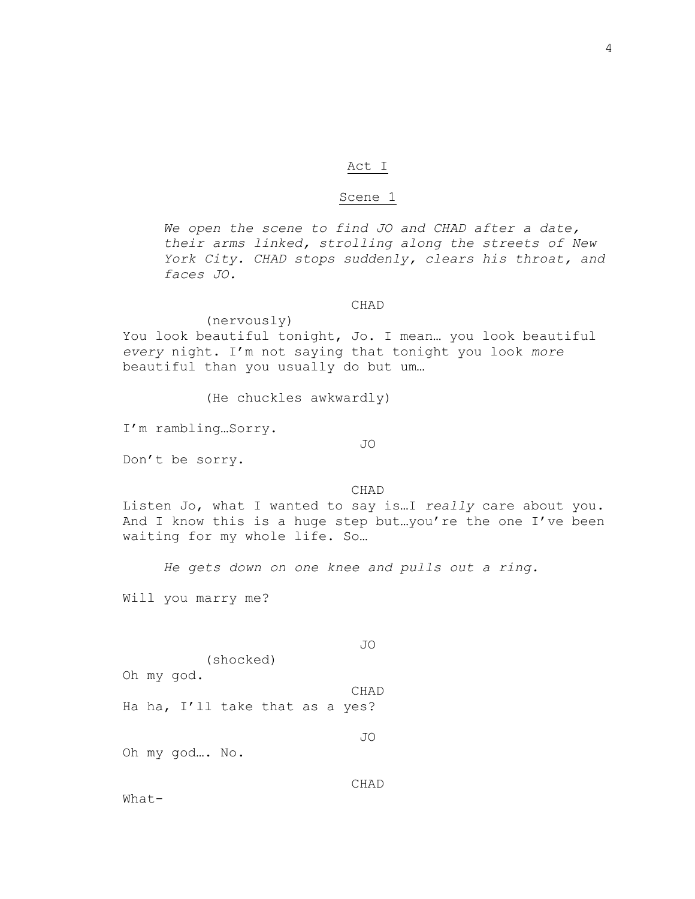# Act I

## Scene 1

*We open the scene to find JO and CHAD after a date, their arms linked, strolling along the streets of New York City. CHAD stops suddenly, clears his throat, and faces JO.*

#### CHAD

(nervously) You look beautiful tonight, Jo. I mean… you look beautiful *every* night. I'm not saying that tonight you look *more*  beautiful than you usually do but um…

(He chuckles awkwardly)

I'm rambling…Sorry.

JO

Don't be sorry.

#### CHAD

Listen Jo, what I wanted to say is…I *really* care about you. And I know this is a huge step but…you're the one I've been waiting for my whole life. So…

*He gets down on one knee and pulls out a ring.*

Will you marry me?

(shocked) Oh my god. CHAD Ha ha, I'll take that as a yes?

JO

JO

Oh my god…. No.

CHAD

What-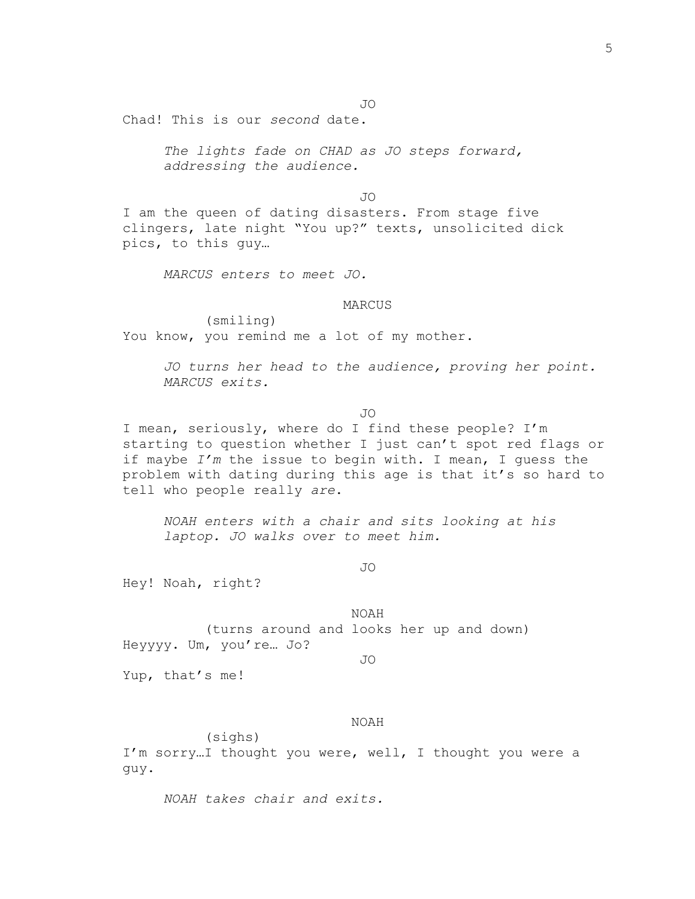JO

Chad! This is our *second* date.

*The lights fade on CHAD as JO steps forward, addressing the audience.*

JO

I am the queen of dating disasters. From stage five clingers, late night "You up?" texts, unsolicited dick pics, to this guy…

*MARCUS enters to meet JO.*

#### MARCUS

(smiling) You know, you remind me a lot of my mother.

> *JO turns her head to the audience, proving her point. MARCUS exits.*

> > JO

I mean, seriously, where do I find these people? I'm starting to question whether I just can't spot red flags or if maybe *I'm* the issue to begin with. I mean, I guess the problem with dating during this age is that it's so hard to tell who people really *are*.

*NOAH enters with a chair and sits looking at his laptop. JO walks over to meet him.*

JO

Hey! Noah, right?

NOAH (turns around and looks her up and down) Heyyyy. Um, you're… Jo?

JO

Yup, that's me!

NOAH

(sighs) I'm sorry…I thought you were, well, I thought you were a guy.

*NOAH takes chair and exits.*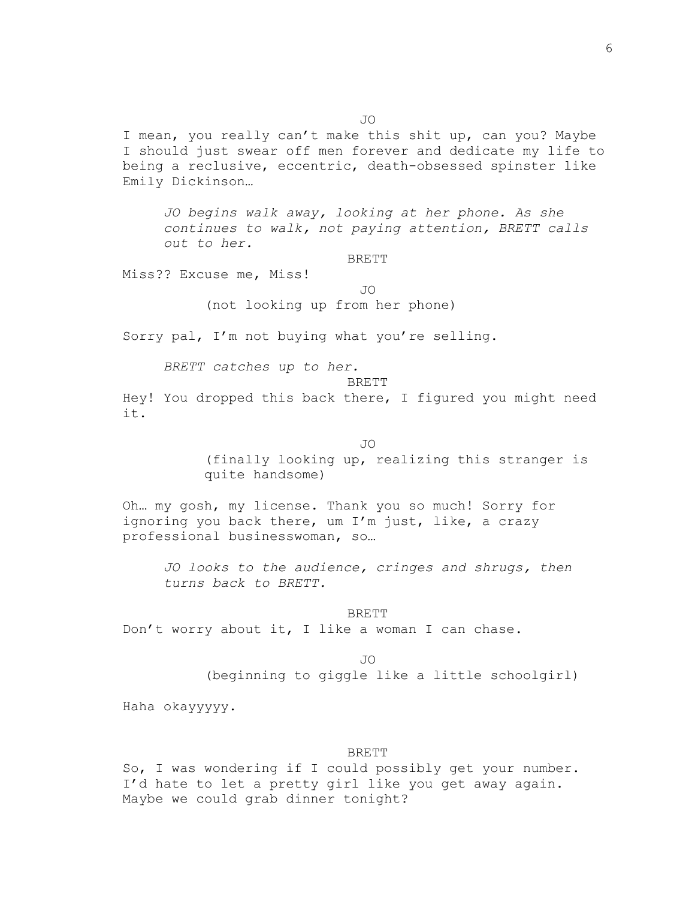I mean, you really can't make this shit up, can you? Maybe I should just swear off men forever and dedicate my life to being a reclusive, eccentric, death-obsessed spinster like Emily Dickinson…

*JO begins walk away, looking at her phone. As she continues to walk, not paying attention, BRETT calls out to her.*

#### BRETT

Miss?? Excuse me, Miss!

JO

(not looking up from her phone)

Sorry pal, I'm not buying what you're selling.

*BRETT catches up to her.*

BRETT

Hey! You dropped this back there, I figured you might need it.

JO

(finally looking up, realizing this stranger is quite handsome)

Oh… my gosh, my license. Thank you so much! Sorry for ignoring you back there, um I'm just, like, a crazy professional businesswoman, so…

*JO looks to the audience, cringes and shrugs, then turns back to BRETT.*

BRETT Don't worry about it, I like a woman I can chase.

JO

(beginning to giggle like a little schoolgirl)

Haha okayyyyy.

## BRETT

So, I was wondering if I could possibly get your number. I'd hate to let a pretty girl like you get away again. Maybe we could grab dinner tonight?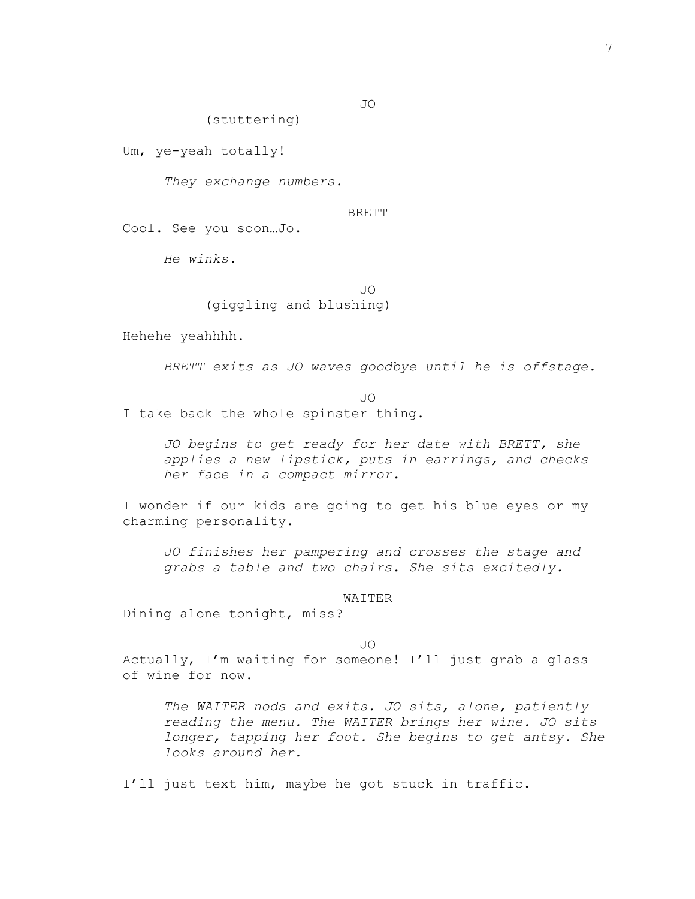JO

(stuttering)

Um, ye-yeah totally!

*They exchange numbers.*

## BRETT

Cool. See you soon…Jo.

*He winks.*

# JO

(giggling and blushing)

Hehehe yeahhhh.

*BRETT exits as JO waves goodbye until he is offstage.*

JO

I take back the whole spinster thing.

*JO begins to get ready for her date with BRETT, she applies a new lipstick, puts in earrings, and checks her face in a compact mirror.*

I wonder if our kids are going to get his blue eyes or my charming personality.

*JO finishes her pampering and crosses the stage and grabs a table and two chairs. She sits excitedly.*

WAITER

Dining alone tonight, miss?

JO

Actually, I'm waiting for someone! I'll just grab a glass of wine for now.

*The WAITER nods and exits. JO sits, alone, patiently reading the menu. The WAITER brings her wine. JO sits longer, tapping her foot. She begins to get antsy. She looks around her.* 

I'll just text him, maybe he got stuck in traffic.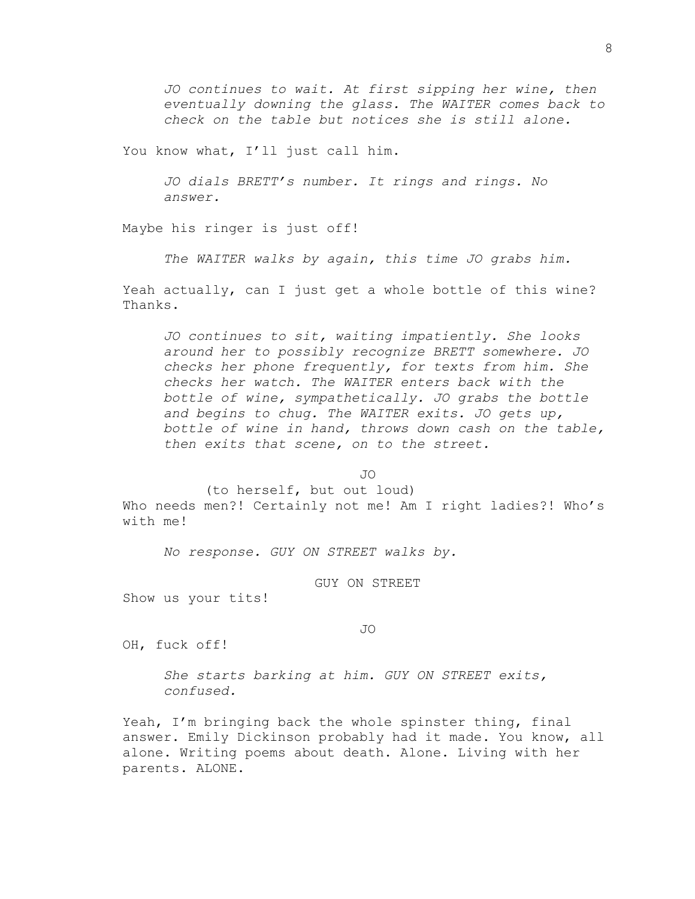*JO continues to wait. At first sipping her wine, then eventually downing the glass. The WAITER comes back to check on the table but notices she is still alone.*

You know what, I'll just call him.

*JO dials BRETT's number. It rings and rings. No answer.*

Maybe his ringer is just off!

*The WAITER walks by again, this time JO grabs him.*

Yeah actually, can I just get a whole bottle of this wine? Thanks.

*JO continues to sit, waiting impatiently. She looks around her to possibly recognize BRETT somewhere. JO checks her phone frequently, for texts from him. She checks her watch. The WAITER enters back with the bottle of wine, sympathetically. JO grabs the bottle and begins to chug. The WAITER exits. JO gets up, bottle of wine in hand, throws down cash on the table, then exits that scene, on to the street.*

 $\overline{J}$ 

(to herself, but out loud)

Who needs men?! Certainly not me! Am I right ladies?! Who's with me!

*No response. GUY ON STREET walks by.*

GUY ON STREET

Show us your tits!

#### JO

OH, fuck off!

*She starts barking at him. GUY ON STREET exits, confused.*

Yeah, I'm bringing back the whole spinster thing, final answer. Emily Dickinson probably had it made. You know, all alone. Writing poems about death. Alone. Living with her parents. ALONE.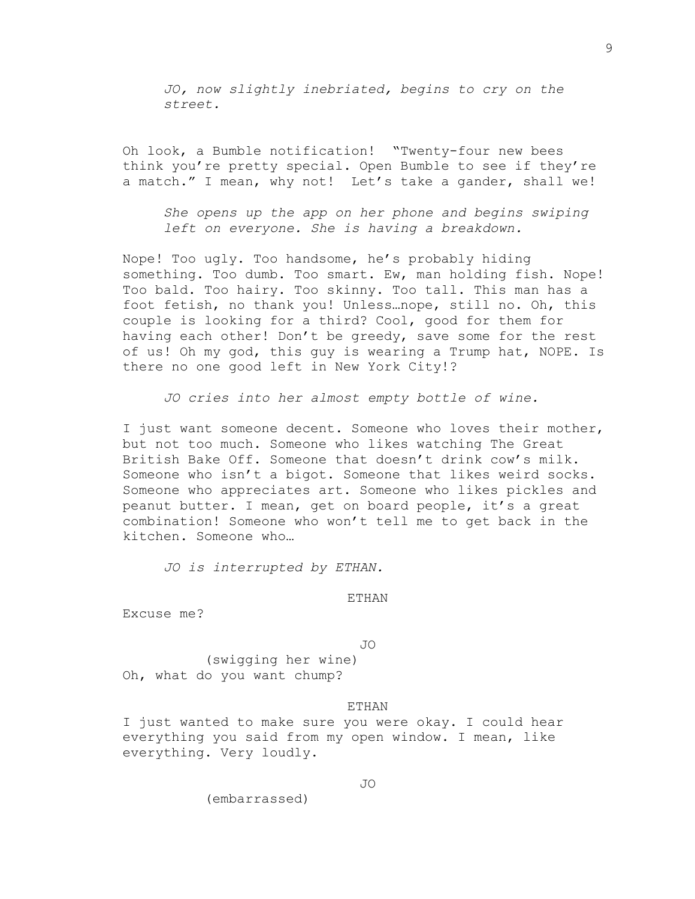*JO, now slightly inebriated, begins to cry on the street.*

Oh look, a Bumble notification! "Twenty-four new bees think you're pretty special. Open Bumble to see if they're a match." I mean, why not! Let's take a gander, shall we!

*She opens up the app on her phone and begins swiping left on everyone. She is having a breakdown.*

Nope! Too ugly. Too handsome, he's probably hiding something. Too dumb. Too smart. Ew, man holding fish. Nope! Too bald. Too hairy. Too skinny. Too tall. This man has a foot fetish, no thank you! Unless…nope, still no. Oh, this couple is looking for a third? Cool, good for them for having each other! Don't be greedy, save some for the rest of us! Oh my god, this guy is wearing a Trump hat, NOPE. Is there no one good left in New York City!?

*JO cries into her almost empty bottle of wine.*

I just want someone decent. Someone who loves their mother, but not too much. Someone who likes watching The Great British Bake Off. Someone that doesn't drink cow's milk. Someone who isn't a bigot. Someone that likes weird socks. Someone who appreciates art. Someone who likes pickles and peanut butter. I mean, get on board people, it's a great combination! Someone who won't tell me to get back in the kitchen. Someone who…

*JO is interrupted by ETHAN.*

ETHAN

Excuse me?

JO

(swigging her wine) Oh, what do you want chump?

#### ETHAN

I just wanted to make sure you were okay. I could hear everything you said from my open window. I mean, like everything. Very loudly.

(embarrassed)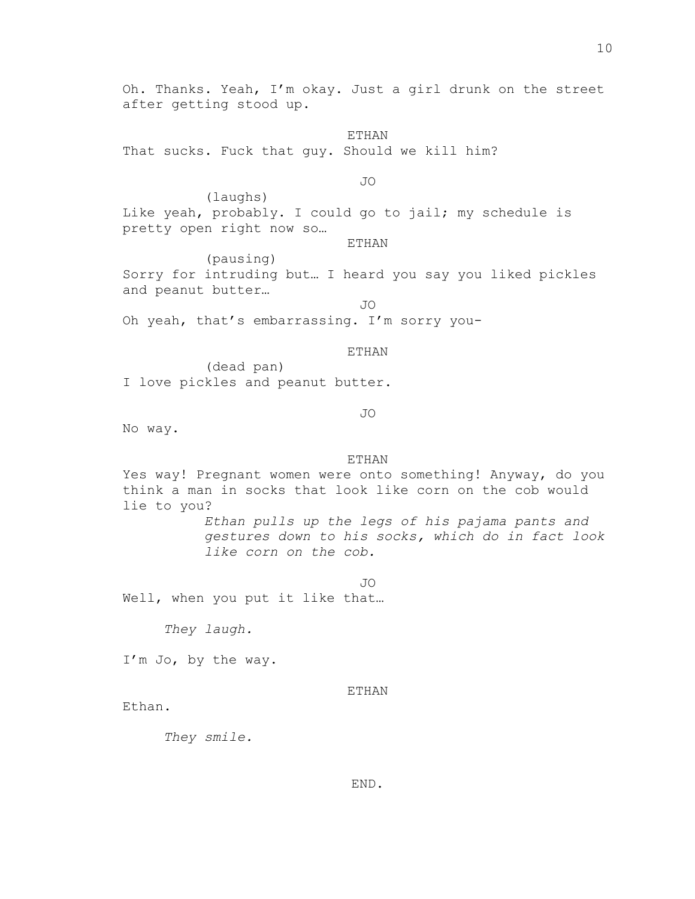Oh. Thanks. Yeah, I'm okay. Just a girl drunk on the street after getting stood up.

ETHAN That sucks. Fuck that guy. Should we kill him?

JO

(laughs) Like yeah, probably. I could go to jail; my schedule is pretty open right now so…

ETHAN

(pausing) Sorry for intruding but… I heard you say you liked pickles and peanut butter…

JO Oh yeah, that's embarrassing. I'm sorry you-

#### ETHAN

(dead pan) I love pickles and peanut butter.

# JO

No way.

# **ETHAN**

Yes way! Pregnant women were onto something! Anyway, do you think a man in socks that look like corn on the cob would lie to you?

> *Ethan pulls up the legs of his pajama pants and gestures down to his socks, which do in fact look like corn on the cob.*

> > JO

Well, when you put it like that…

*They laugh.*

I'm Jo, by the way.

#### ETHAN

Ethan.

*They smile.*